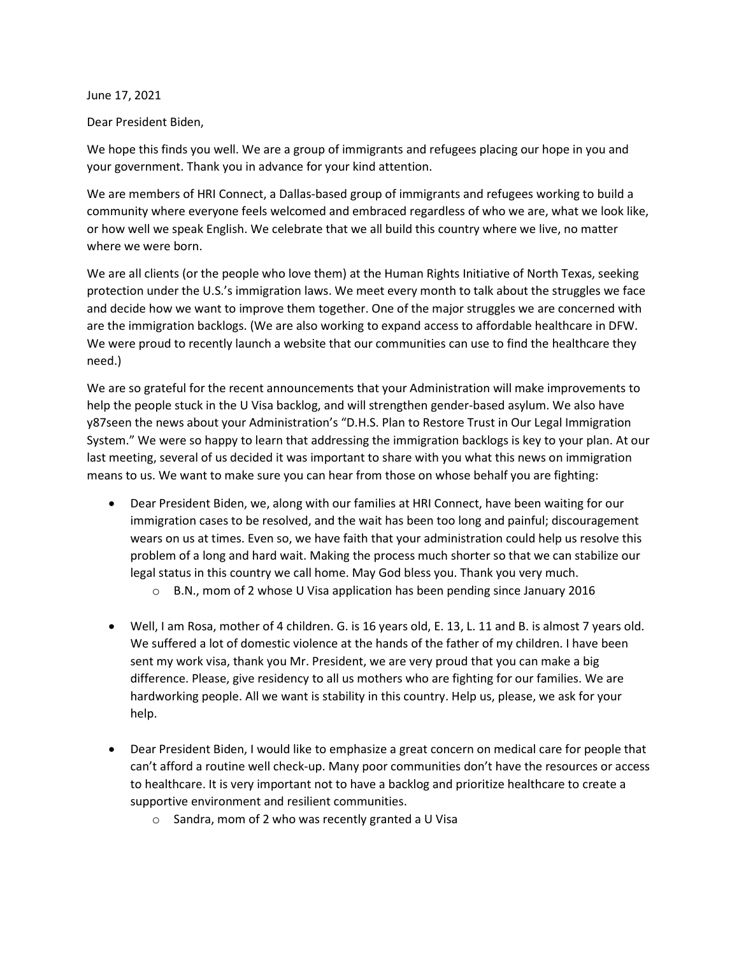June 17, 2021

Dear President Biden,

We hope this finds you well. We are a group of immigrants and refugees placing our hope in you and your government. Thank you in advance for your kind attention.

We are members of HRI Connect, a Dallas-based group of immigrants and refugees working to build a community where everyone feels welcomed and embraced regardless of who we are, what we look like, or how well we speak English. We celebrate that we all build this country where we live, no matter where we were born.

We are all clients (or the people who love them) at the Human Rights Initiative of North Texas, seeking protection under the U.S.'s immigration laws. We meet every month to talk about the struggles we face and decide how we want to improve them together. One of the major struggles we are concerned with are the immigration backlogs. (We are also working to expand access to affordable healthcare in DFW. We were proud to recently launch a website that our communities can use to find the healthcare they need.)

We are so grateful for the recent announcements that your Administration will make improvements to help the people stuck in the U Visa backlog, and will strengthen gender-based asylum. We also have y87seen the news about your Administration's "D.H.S. Plan to Restore Trust in Our Legal Immigration System." We were so happy to learn that addressing the immigration backlogs is key to your plan. At our last meeting, several of us decided it was important to share with you what this news on immigration means to us. We want to make sure you can hear from those on whose behalf you are fighting:

- Dear President Biden, we, along with our families at HRI Connect, have been waiting for our immigration cases to be resolved, and the wait has been too long and painful; discouragement wears on us at times. Even so, we have faith that your administration could help us resolve this problem of a long and hard wait. Making the process much shorter so that we can stabilize our legal status in this country we call home. May God bless you. Thank you very much.
	- o B.N., mom of 2 whose U Visa application has been pending since January 2016
- Well, I am Rosa, mother of 4 children. G. is 16 years old, E. 13, L. 11 and B. is almost 7 years old. We suffered a lot of domestic violence at the hands of the father of my children. I have been sent my work visa, thank you Mr. President, we are very proud that you can make a big difference. Please, give residency to all us mothers who are fighting for our families. We are hardworking people. All we want is stability in this country. Help us, please, we ask for your help.
- Dear President Biden, I would like to emphasize a great concern on medical care for people that can't afford a routine well check-up. Many poor communities don't have the resources or access to healthcare. It is very important not to have a backlog and prioritize healthcare to create a supportive environment and resilient communities.
	- o Sandra, mom of 2 who was recently granted a U Visa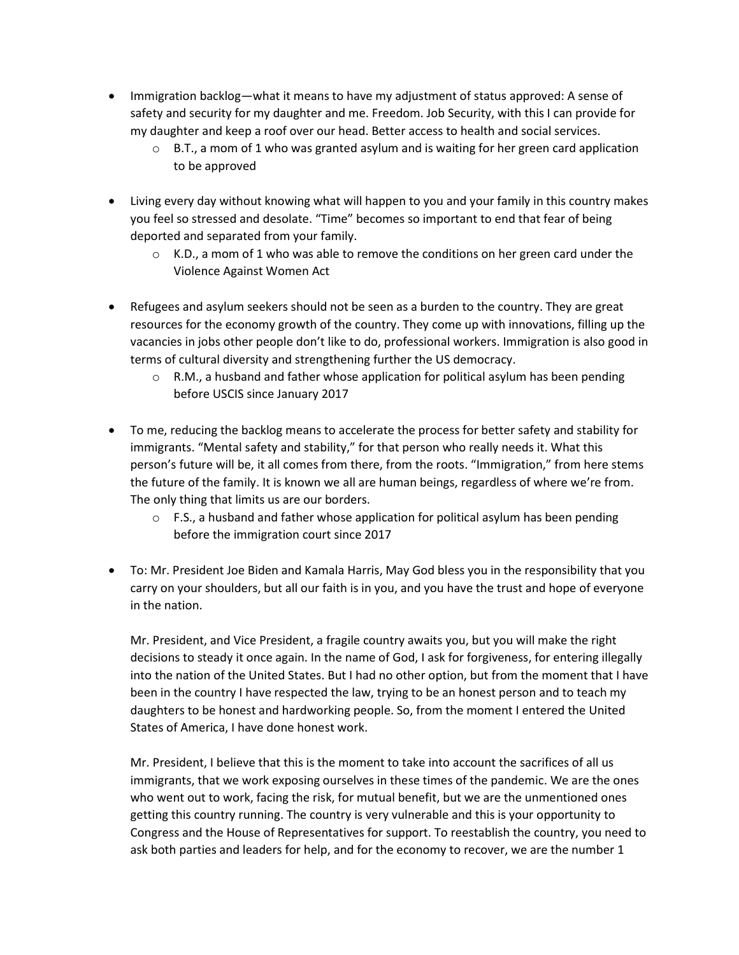- Immigration backlog—what it means to have my adjustment of status approved: A sense of safety and security for my daughter and me. Freedom. Job Security, with this I can provide for my daughter and keep a roof over our head. Better access to health and social services.
	- $\circ$  B.T., a mom of 1 who was granted asylum and is waiting for her green card application to be approved
- Living every day without knowing what will happen to you and your family in this country makes you feel so stressed and desolate. "Time" becomes so important to end that fear of being deported and separated from your family.
	- $\circ$  K.D., a mom of 1 who was able to remove the conditions on her green card under the Violence Against Women Act
- Refugees and asylum seekers should not be seen as a burden to the country. They are great resources for the economy growth of the country. They come up with innovations, filling up the vacancies in jobs other people don't like to do, professional workers. Immigration is also good in terms of cultural diversity and strengthening further the US democracy.
	- $\circ$  R.M., a husband and father whose application for political asylum has been pending before USCIS since January 2017
- To me, reducing the backlog means to accelerate the process for better safety and stability for immigrants. "Mental safety and stability," for that person who really needs it. What this person's future will be, it all comes from there, from the roots. "Immigration," from here stems the future of the family. It is known we all are human beings, regardless of where we're from. The only thing that limits us are our borders.
	- $\circ$  F.S., a husband and father whose application for political asylum has been pending before the immigration court since 2017
- To: Mr. President Joe Biden and Kamala Harris, May God bless you in the responsibility that you carry on your shoulders, but all our faith is in you, and you have the trust and hope of everyone in the nation.

Mr. President, and Vice President, a fragile country awaits you, but you will make the right decisions to steady it once again. In the name of God, I ask for forgiveness, for entering illegally into the nation of the United States. But I had no other option, but from the moment that I have been in the country I have respected the law, trying to be an honest person and to teach my daughters to be honest and hardworking people. So, from the moment I entered the United States of America, I have done honest work.

Mr. President, I believe that this is the moment to take into account the sacrifices of all us immigrants, that we work exposing ourselves in these times of the pandemic. We are the ones who went out to work, facing the risk, for mutual benefit, but we are the unmentioned ones getting this country running. The country is very vulnerable and this is your opportunity to Congress and the House of Representatives for support. To reestablish the country, you need to ask both parties and leaders for help, and for the economy to recover, we are the number 1